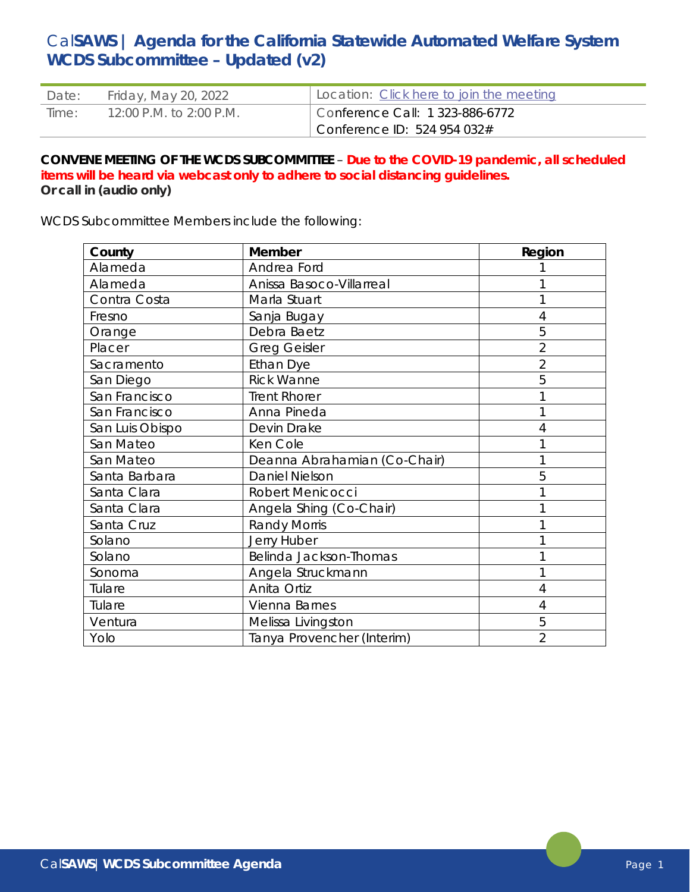# Cal**SAWS | Agenda for the California Statewide Automated Welfare System WCDS Subcommittee – Updated (v2)**

| Date: | Friday, May 20, 2022    | Location: Click here to join the meeting |
|-------|-------------------------|------------------------------------------|
| Time: | 12:00 P.M. to 2:00 P.M. | Conference Call: 1 323-886-6772          |
|       |                         | Conference ID: $524954032#$              |

#### **CONVENE MEETING OF THE WCDS SUBCOMMITTEE** – **Due to the COVID-19 pandemic, all scheduled items will be heard via webcast only to adhere to social distancing guidelines. Or call in (audio only)**

WCDS Subcommittee Members include the following:

| County          | <b>Member</b>                | Region         |
|-----------------|------------------------------|----------------|
| Alameda         | Andrea Ford                  |                |
| Alameda         | Anissa Basoco-Villarreal     |                |
| Contra Costa    | Marla Stuart                 |                |
| Fresno          | Sanja Bugay                  | 4              |
| Orange          | Debra Baetz                  | 5              |
| Placer          | <b>Greg Geisler</b>          | $\overline{2}$ |
| Sacramento      | Ethan Dye                    | $\overline{2}$ |
| San Diego       | <b>Rick Wanne</b>            | 5              |
| San Francisco   | <b>Trent Rhorer</b>          |                |
| San Francisco   | Anna Pineda                  |                |
| San Luis Obispo | Devin Drake                  | 4              |
| San Mateo       | Ken Cole                     |                |
| San Mateo       | Deanna Abrahamian (Co-Chair) |                |
| Santa Barbara   | <b>Daniel Nielson</b>        | 5              |
| Santa Clara     | Robert Menicocci             |                |
| Santa Clara     | Angela Shing (Co-Chair)      |                |
| Santa Cruz      | <b>Randy Morris</b>          |                |
| Solano          | Jerry Huber                  |                |
| Solano          | Belinda Jackson-Thomas       |                |
| Sonoma          | Angela Struckmann            |                |
| Tulare          | Anita Ortiz                  | 4              |
| Tulare          | Vienna Barnes                | 4              |
| Ventura         | Melissa Livingston           | 5              |
| Yolo            | Tanya Provencher (Interim)   | $\overline{2}$ |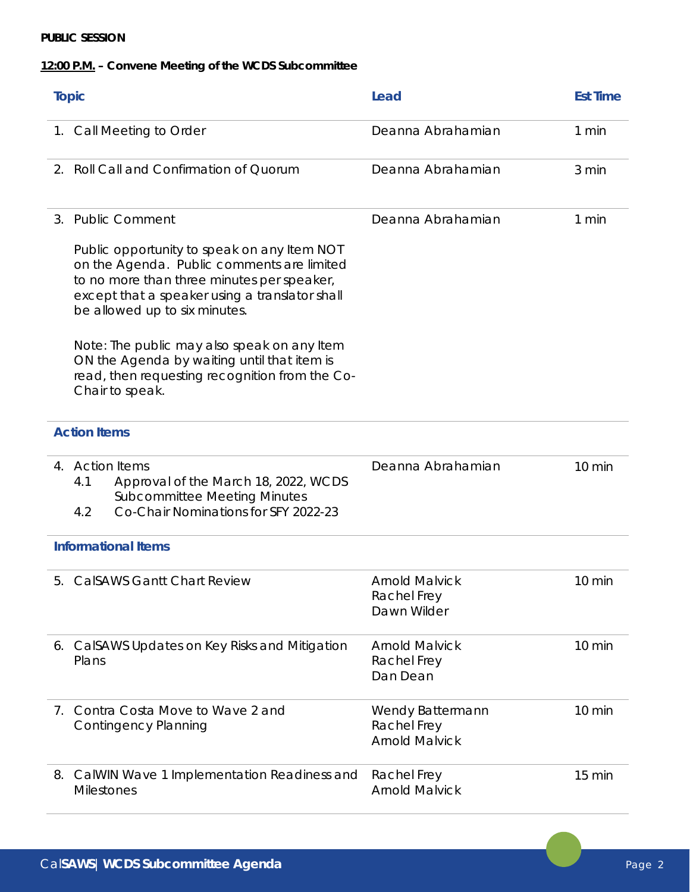### **PUBLIC SESSION**

## **12:00 P.M. – Convene Meeting of the WCDS Subcommittee**

| <b>Topic</b>               |                                                                                                                                                                                                                            | Lead                                                     | <b>Est Time</b>  |
|----------------------------|----------------------------------------------------------------------------------------------------------------------------------------------------------------------------------------------------------------------------|----------------------------------------------------------|------------------|
|                            | 1. Call Meeting to Order                                                                                                                                                                                                   | Deanna Abrahamian                                        | 1 min            |
| 2.                         | Roll Call and Confirmation of Quorum                                                                                                                                                                                       | Deanna Abrahamian                                        | 3 min            |
| 3.                         | <b>Public Comment</b>                                                                                                                                                                                                      | Deanna Abrahamian                                        | 1 min            |
|                            | Public opportunity to speak on any Item NOT<br>on the Agenda. Public comments are limited<br>to no more than three minutes per speaker,<br>except that a speaker using a translator shall<br>be allowed up to six minutes. |                                                          |                  |
|                            | Note: The public may also speak on any Item<br>ON the Agenda by waiting until that item is<br>read, then requesting recognition from the Co-<br>Chair to speak.                                                            |                                                          |                  |
| <b>Action Items</b>        |                                                                                                                                                                                                                            |                                                          |                  |
| 4.                         | <b>Action Items</b><br>4.1<br>Approval of the March 18, 2022, WCDS<br><b>Subcommittee Meeting Minutes</b><br>Co-Chair Nominations for SFY 2022-23<br>4.2                                                                   | Deanna Abrahamian                                        | $10 \text{ min}$ |
| <b>Informational Items</b> |                                                                                                                                                                                                                            |                                                          |                  |
|                            | 5. CalSAWS Gantt Chart Review                                                                                                                                                                                              | <b>Arnold Malvick</b><br>Rachel Frey<br>Dawn Wilder      | $10 \text{ min}$ |
|                            | 6. CalSAWS Updates on Key Risks and Mitigation<br>Plans                                                                                                                                                                    | <b>Arnold Malvick</b><br>Rachel Frey<br>Dan Dean         | $10 \text{ min}$ |
| $\prime$ .                 | Contra Costa Move to Wave 2 and<br><b>Contingency Planning</b>                                                                                                                                                             | Wendy Battermann<br>Rachel Frey<br><b>Arnold Malvick</b> | $10 \text{ min}$ |
|                            | 8. CalWIN Wave 1 Implementation Readiness and<br><b>Milestones</b>                                                                                                                                                         | Rachel Frey<br><b>Arnold Malvick</b>                     | 15 min           |